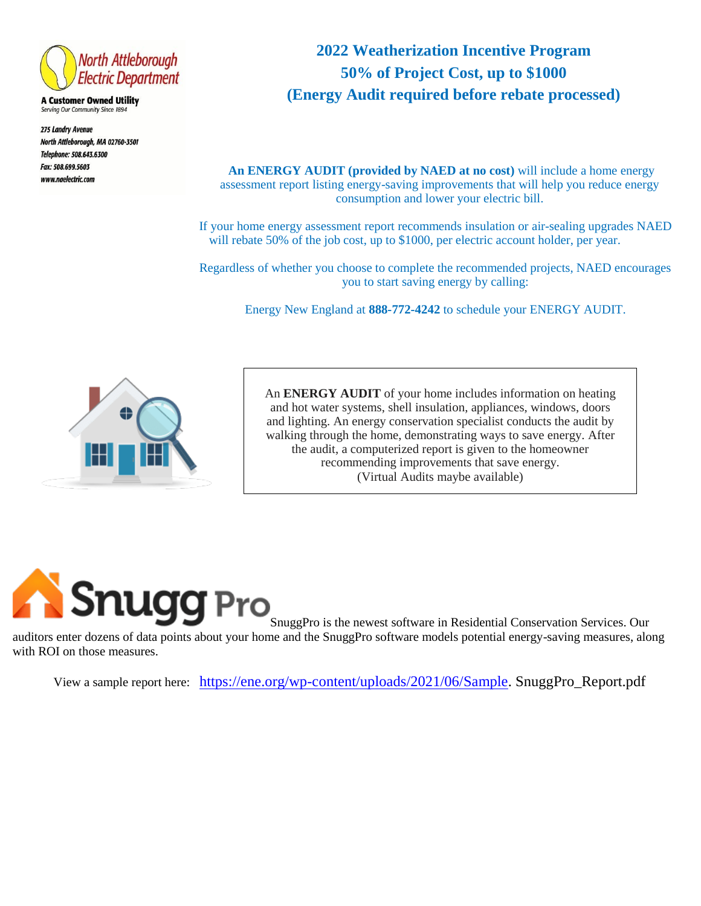

**A Customer Owned Utility** Serving Our Community Since 1894

275 Landry Avenue North Attleborough, MA 02760-3501 Telephone: 508.643.6300 Fax: 508.699.5603 www.naelectric.com

## **2022 Weatherization Incentive Program 50% of Project Cost, up to \$1000 (Energy Audit required before rebate processed)**

**An ENERGY AUDIT (provided by NAED at no cost)** will include a home energy assessment report listing energy-saving improvements that will help you reduce energy consumption and lower your electric bill.

If your home energy assessment report recommends insulation or air-sealing upgrades NAED will rebate 50% of the job cost, up to \$1000, per electric account holder, per year.

Regardless of whether you choose to complete the recommended projects, NAED encourages you to start saving energy by calling:

Energy New England at **888-772-4242** to schedule your ENERGY AUDIT.



An **ENERGY AUDIT** of your home includes information on heating and hot water systems, shell insulation, appliances, windows, doors and lighting. An energy conservation specialist conducts the audit by walking through the home, demonstrating ways to save energy. After the audit, a computerized report is given to the homeowner recommending improvements that save energy. (Virtual Audits maybe available)



with ROI on those measures. SnuggPro is the newest software in Residential Conservation Services. Our auditors enter dozens of data points about your home and the SnuggPro software models potential energy-saving measures, along

View a sample report here: [https://ene.org/wp-content/uploads/2021/06/Sample.](https://ene.org/wp-content/uploads/2021/06/Sample) SnuggPro\_Report.pdf